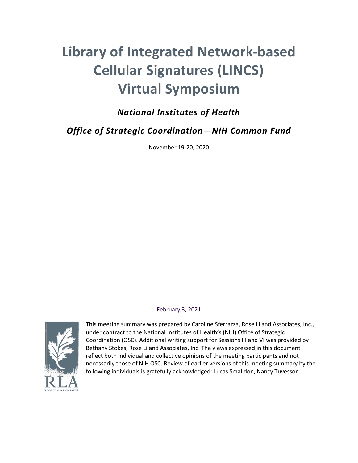# **Library of Integrated Network-based Cellular Signatures (LINCS) Virtual Symposium**

# *National Institutes of Health*

*Office of Strategic Coordination—NIH Common Fund*

November 19-20, 2020

#### February 3, 2021



This meeting summary was prepared by Caroline Sferrazza, Rose Li and Associates, Inc., under contract to the National Institutes of Health's (NIH) Office of Strategic Coordination (OSC). Additional writing support for Sessions III and VI was provided by Bethany Stokes, Rose Li and Associates, Inc. The views expressed in this document reflect both individual and collective opinions of the meeting participants and not necessarily those of NIH OSC. Review of earlier versions of this meeting summary by the following individuals is gratefully acknowledged: Lucas Smalldon, Nancy Tuvesson.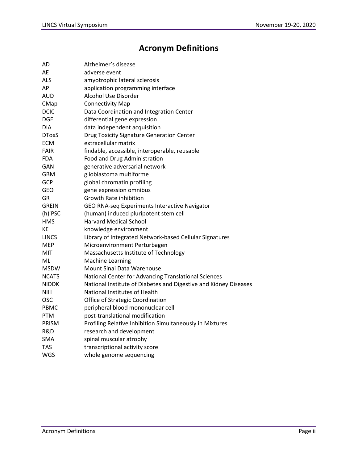# **Acronym Definitions**

| AD           | Alzheimer's disease                                              |
|--------------|------------------------------------------------------------------|
| AE           | adverse event                                                    |
| <b>ALS</b>   | amyotrophic lateral sclerosis                                    |
| API          | application programming interface                                |
| AUD          | Alcohol Use Disorder                                             |
| CMap         | <b>Connectivity Map</b>                                          |
| <b>DCIC</b>  | Data Coordination and Integration Center                         |
| DGE          | differential gene expression                                     |
| <b>DIA</b>   | data independent acquisition                                     |
| <b>DToxS</b> | <b>Drug Toxicity Signature Generation Center</b>                 |
| <b>ECM</b>   | extracellular matrix                                             |
| <b>FAIR</b>  | findable, accessible, interoperable, reusable                    |
| <b>FDA</b>   | Food and Drug Administration                                     |
| GAN          | generative adversarial network                                   |
| <b>GBM</b>   | glioblastoma multiforme                                          |
| GCP          | global chromatin profiling                                       |
| <b>GEO</b>   | gene expression omnibus                                          |
| GR           | <b>Growth Rate inhibition</b>                                    |
| <b>GREIN</b> | GEO RNA-seq Experiments Interactive Navigator                    |
| (h)iPSC      | (human) induced pluripotent stem cell                            |
| <b>HMS</b>   | <b>Harvard Medical School</b>                                    |
| KE           | knowledge environment                                            |
| <b>LINCS</b> | Library of Integrated Network-based Cellular Signatures          |
| MEP          | Microenvironment Perturbagen                                     |
| MIT          | Massachusetts Institute of Technology                            |
| ML           | <b>Machine Learning</b>                                          |
| <b>MSDW</b>  | Mount Sinai Data Warehouse                                       |
| <b>NCATS</b> | National Center for Advancing Translational Sciences             |
| <b>NIDDK</b> | National Institute of Diabetes and Digestive and Kidney Diseases |
| NIH          | National Institutes of Health                                    |
| <b>OSC</b>   | Office of Strategic Coordination                                 |
| <b>PBMC</b>  | peripheral blood mononuclear cell                                |
| <b>PTM</b>   | post-translational modification                                  |
| <b>PRISM</b> | Profiling Relative Inhibition Simultaneously in Mixtures         |
| R&D          | research and development                                         |
| <b>SMA</b>   | spinal muscular atrophy                                          |
| TAS          | transcriptional activity score                                   |
| WGS          | whole genome sequencing                                          |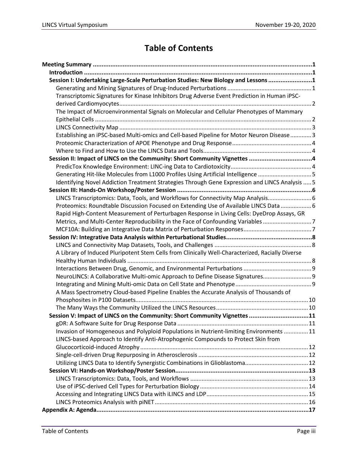# **Table of Contents**

| Session I: Undertaking Large-Scale Perturbation Studies: New Biology and Lessons 1               |  |
|--------------------------------------------------------------------------------------------------|--|
|                                                                                                  |  |
| Transcriptomic Signatures for Kinase Inhibitors Drug Adverse Event Prediction in Human iPSC-     |  |
|                                                                                                  |  |
| The Impact of Microenvironmental Signals on Molecular and Cellular Phenotypes of Mammary         |  |
|                                                                                                  |  |
|                                                                                                  |  |
| Establishing an iPSC-based Multi-omics and Cell-based Pipeline for Motor Neuron Disease 3        |  |
|                                                                                                  |  |
|                                                                                                  |  |
|                                                                                                  |  |
|                                                                                                  |  |
| Generating Hit-like Molecules from L1000 Profiles Using Artificial Intelligence 5                |  |
| Identifying Novel Addiction Treatment Strategies Through Gene Expression and LINCS Analysis  5   |  |
|                                                                                                  |  |
| LINCS Transcriptomics: Data, Tools, and Workflows for Connectivity Map Analysis 6                |  |
| Proteomics: Roundtable Discussion Focused on Extending Use of Available LINCS Data  6            |  |
| Rapid High-Content Measurement of Perturbagen Response in Living Cells: DyeDrop Assays, GR       |  |
| Metrics, and Multi-Center Reproducibility in the Face of Confounding Variables 7                 |  |
|                                                                                                  |  |
|                                                                                                  |  |
|                                                                                                  |  |
| A Library of Induced Pluripotent Stem Cells from Clinically Well-Characterized, Racially Diverse |  |
|                                                                                                  |  |
|                                                                                                  |  |
| NeuroLINCS: A Collaborative Multi-omic Approach to Define Disease Signatures 9                   |  |
|                                                                                                  |  |
| A Mass Spectrometry Cloud-based Pipeline Enables the Accurate Analysis of Thousands of           |  |
|                                                                                                  |  |
|                                                                                                  |  |
| Session V: Impact of LINCS on the Community: Short Community Vignettes 11                        |  |
|                                                                                                  |  |
| Invasion of Homogeneous and Polyploid Populations in Nutrient-limiting Environments 11           |  |
| LINCS-based Approach to Identify Anti-Atrophogenic Compounds to Protect Skin from                |  |
|                                                                                                  |  |
|                                                                                                  |  |
|                                                                                                  |  |
|                                                                                                  |  |
|                                                                                                  |  |
|                                                                                                  |  |
|                                                                                                  |  |
|                                                                                                  |  |
|                                                                                                  |  |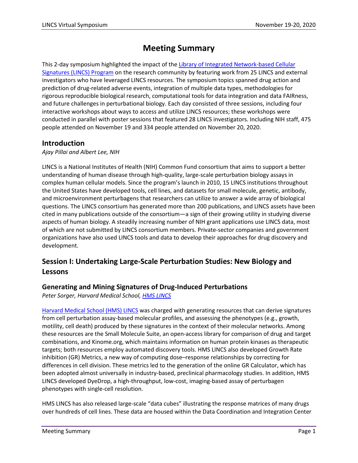# **Meeting Summary**

This 2-day symposium highlighted the impact of the [Library of Integrated Network-based Cellular](https://commonfund.nih.gov/LINCS)  [Signatures \(LINCS\) Program](https://commonfund.nih.gov/LINCS) on the research community by featuring work from 25 LINCS and external investigators who have leveraged LINCS resources. The symposium topics spanned drug action and prediction of drug-related adverse events, integration of multiple data types, methodologies for rigorous reproducible biological research, computational tools for data integration and data FAIRness, and future challenges in perturbational biology. Each day consisted of three sessions, including four interactive workshops about ways to access and utilize LINCS resources; these workshops were conducted in parallel with poster sessions that featured 28 LINCS investigators. Including NIH staff, 475 people attended on November 19 and 334 people attended on November 20, 2020.

### **Introduction**

#### *Ajay Pillai and Albert Lee, NIH*

LINCS is a National Institutes of Health (NIH) Common Fund consortium that aims to support a better understanding of human disease through high-quality, large-scale perturbation biology assays in complex human cellular models. Since the program's launch in 2010, 15 LINCS institutions throughout the United States have developed tools, cell lines, and datasets for small molecule, genetic, antibody, and microenvironment perturbagens that researchers can utilize to answer a wide array of biological questions. The LINCS consortium has generated more than 200 publications, and LINCS assets have been cited in many publications outside of the consortium—a sign of their growing utility in studying diverse aspects of human biology. A steadily increasing number of NIH grant applications use LINCS data, most of which are not submitted by LINCS consortium members. Private-sector companies and government organizations have also used LINCS tools and data to develop their approaches for drug discovery and development.

# **Session I: Undertaking Large-Scale Perturbation Studies: New Biology and Lessons**

#### **Generating and Mining Signatures of Drug-Induced Perturbations**

*Peter Sorger, Harvard Medical School[, HMS LINCS](https://lincsproject.org/LINCS/centers/data-and-signature-generating-centers/hms-lincs)* 

[Harvard Medical School \(HMS\) LINCS](https://lincs.hms.harvard.edu/) was charged with generating resources that can derive signatures from cell perturbation assay-based molecular profiles, and assessing the phenotypes (e.g., growth, motility, cell death) produced by these signatures in the context of their molecular networks. Among these resources are the Small Molecule Suite, an open-access library for comparison of drug and target combinations, and Kinome.org, which maintains information on human protein kinases as therapeutic targets; both resources employ automated discovery tools. HMS LINCS also developed Growth Rate inhibition (GR) Metrics, a new way of computing dose–response relationships by correcting for differences in cell division. These metrics led to the generation of the online GR Calculator, which has been adopted almost universally in industry-based, preclinical pharmacology studies. In addition, HMS LINCS developed DyeDrop, a high-throughput, low-cost, imaging-based assay of perturbagen phenotypes with single-cell resolution.

HMS LINCS has also released large-scale "data cubes" illustrating the response matrices of many drugs over hundreds of cell lines. These data are housed within the Data Coordination and Integration Center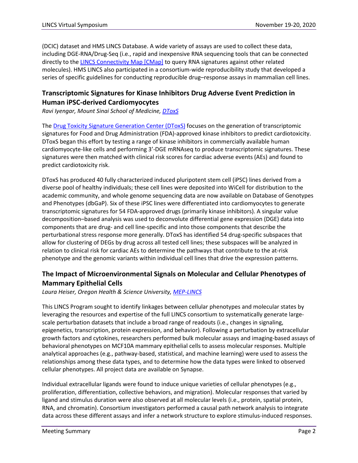(DCIC) dataset and HMS LINCS Database. A wide variety of assays are used to collect these data, including DGE-RNA/Drug-Seq (i.e., rapid and inexpensive RNA sequencing tools that can be connected directly to the [LINCS Connectivity Map \[CMap\]](https://clue.io/) to query RNA signatures against other related molecules). HMS LINCS also participated in a consortium-wide reproducibility study that developed a series of specific guidelines for conducting reproducible drug–response assays in mammalian cell lines.

# **Transcriptomic Signatures for Kinase Inhibitors Drug Adverse Event Prediction in Human iPSC-derived Cardiomyocytes**

*Ravi Iyengar, Mount Sinai School of Medicine, [DToxS](https://lincsproject.org/LINCS/centers/data-and-signature-generating-centers/dtoxs)*

The [Drug Toxicity Signature Generation Center \(DToxS\)](https://martip03.u.hpc.mssm.edu/index.php) focuses on the generation of transcriptomic signatures for Food and Drug Administration (FDA)-approved kinase inhibitors to predict cardiotoxicity. DToxS began this effort by testing a range of kinase inhibitors in commercially available human cardiomyocyte-like cells and performing 3'-DGE mRNAseq to produce transcriptomic signatures. These signatures were then matched with clinical risk scores for cardiac adverse events (AEs) and found to predict cardiotoxicity risk.

DToxS has produced 40 fully characterized induced pluripotent stem cell (iPSC) lines derived from a diverse pool of healthy individuals; these cell lines were deposited into WiCell for distribution to the academic community, and whole genome sequencing data are now available on Database of Genotypes and Phenotypes (dbGaP). Six of these iPSC lines were differentiated into cardiomyocytes to generate transcriptomic signatures for 54 FDA-approved drugs (primarily kinase inhibitors). A singular value decomposition–based analysis was used to deconvolute differential gene expression (DGE) data into components that are drug- and cell line-specific and into those components that describe the perturbational stress response more generally. DToxS has identified 54 drug-specific subspaces that allow for clustering of DEGs by drug across all tested cell lines; these subspaces will be analyzed in relation to clinical risk for cardiac AEs to determine the pathways that contribute to the at-risk phenotype and the genomic variants within individual cell lines that drive the expression patterns.

# **The Impact of Microenvironmental Signals on Molecular and Cellular Phenotypes of Mammary Epithelial Cells**

*Laura Heiser, Oregon Health & Science University, [MEP-LINCS](https://lincsproject.org/LINCS/centers/data-and-signature-generating-centers/mep-lincs)*

This LINCS Program sought to identify linkages between cellular phenotypes and molecular states by leveraging the resources and expertise of the full LINCS consortium to systematically generate largescale perturbation datasets that include a broad range of readouts (i.e., changes in signaling, epigenetics, transcription, protein expression, and behavior). Following a perturbation by extracellular growth factors and cytokines, researchers performed bulk molecular assays and imaging-based assays of behavioral phenotypes on MCF10A mammary epithelial cells to assess molecular responses. Multiple analytical approaches (e.g., pathway-based, statistical, and machine learning) were used to assess the relationships among these data types, and to determine how the data types were linked to observed cellular phenotypes. All project data are available on Synapse.

Individual extracellular ligands were found to induce unique varieties of cellular phenotypes (e.g., proliferation, differentiation, collective behaviors, and migration). Molecular responses that varied by ligand and stimulus duration were also observed at all molecular levels (i.e., protein, spatial protein, RNA, and chromatin). Consortium investigators performed a causal path network analysis to integrate data across these different assays and infer a network structure to explore stimulus-induced responses.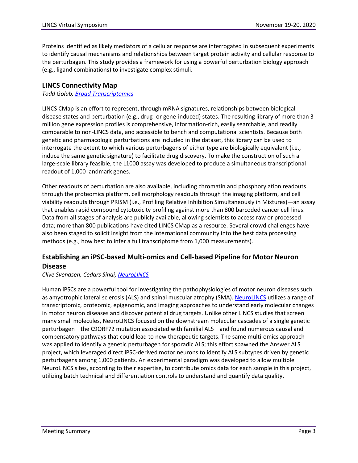Proteins identified as likely mediators of a cellular response are interrogated in subsequent experiments to identify causal mechanisms and relationships between target protein activity and cellular response to the perturbagen. This study provides a framework for using a powerful perturbation biology approach (e.g., ligand combinations) to investigate complex stimuli.

#### **LINCS Connectivity Map**

*Todd Golub[, Broad Transcriptomics](https://lincsproject.org/LINCS/centers/data-and-signature-generating-centers/lincs-transcriptomics)*

LINCS CMap is an effort to represent, through mRNA signatures, relationships between biological disease states and perturbation (e.g., drug- or gene-induced) states. The resulting library of more than 3 million gene expression profiles is comprehensive, information-rich, easily searchable, and readily comparable to non-LINCS data, and accessible to bench and computational scientists. Because both genetic and pharmacologic perturbations are included in the dataset, this library can be used to interrogate the extent to which various perturbagens of either type are biologically equivalent (i.e., induce the same genetic signature) to facilitate drug discovery. To make the construction of such a large-scale library feasible, the L1000 assay was developed to produce a simultaneous transcriptional readout of 1,000 landmark genes.

Other readouts of perturbation are also available, including chromatin and phosphorylation readouts through the proteomics platform, cell morphology readouts through the imaging platform, and cell viability readouts through PRISM (i.e., Profiling Relative Inhibition Simultaneously in Mixtures)—an assay that enables rapid compound cytotoxicity profiling against more than 800 barcoded cancer cell lines. Data from all stages of analysis are publicly available, allowing scientists to access raw or processed data; more than 800 publications have cited LINCS CMap as a resource. Several crowd challenges have also been staged to solicit insight from the international community into the best data processing methods (e.g., how best to infer a full transcriptome from 1,000 measurements).

# **Establishing an iPSC-based Multi-omics and Cell-based Pipeline for Motor Neuron Disease**

*Clive Svendsen, Cedars Sinai[, NeuroLINCS](https://lincsproject.org/LINCS/centers/data-and-signature-generating-centers/neurolincs)*

Human iPSCs are a powerful tool for investigating the pathophysiologies of motor neuron diseases such as amyotrophic lateral sclerosis (ALS) and spinal muscular atrophy (SMA)[. NeuroLINCS](http://neurolincs.org/) utilizes a range of transcriptomic, proteomic, epigenomic, and imaging approaches to understand early molecular changes in motor neuron diseases and discover potential drug targets. Unlike other LINCS studies that screen many small molecules, NeuroLINCS focused on the downstream molecular cascades of a single genetic perturbagen—the C9ORF72 mutation associated with familial ALS—and found numerous causal and compensatory pathways that could lead to new therapeutic targets. The same multi-omics approach was applied to identify a genetic perturbagen for sporadic ALS; this effort spawned the Answer ALS project, which leveraged direct iPSC-derived motor neurons to identify ALS subtypes driven by genetic perturbagens among 1,000 patients. An experimental paradigm was developed to allow multiple NeuroLINCS sites, according to their expertise, to contribute omics data for each sample in this project, utilizing batch technical and differentiation controls to understand and quantify data quality.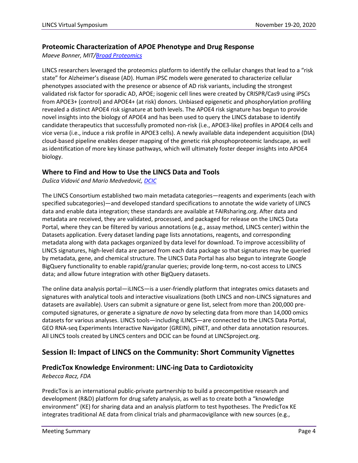#### **Proteomic Characterization of APOE Phenotype and Drug Response**

*Maeve Bonner, MIT[/Broad Proteomics](https://lincsproject.org/LINCS/centers/data-and-signature-generating-centers/lincs-pccse)*

LINCS researchers leveraged the proteomics platform to identify the cellular changes that lead to a "risk state" for Alzheimer's disease (AD). Human iPSC models were generated to characterize cellular phenotypes associated with the presence or absence of AD risk variants, including the strongest validated risk factor for sporadic AD, APOE; isogenic cell lines were created by CRISPR/Cas9 using iPSCs from APOE3+ (control) and APOE4+ (at risk) donors. Unbiased epigenetic and phosphorylation profiling revealed a distinct APOE4 risk signature at both levels. The APOE4 risk signature has begun to provide novel insights into the biology of APOE4 and has been used to query the LINCS database to identify candidate therapeutics that successfully promoted non-risk (i.e., APOE3-like) profiles in APOE4 cells and vice versa (i.e., induce a risk profile in APOE3 cells). A newly available data independent acquisition (DIA) cloud-based pipeline enables deeper mapping of the genetic risk phosphoproteomic landscape, as well as identification of more key kinase pathways, which will ultimately foster deeper insights into APOE4 biology.

#### **Where to Find and How to Use the LINCS Data and Tools**

*Dušica Vidović and Mario Medvedović[, DCIC](https://lincsproject.org/LINCS/centers/dcic)*

The LINCS Consortium established two main metadata categories—reagents and experiments (each with specified subcategories)—and developed standard specifications to annotate the wide variety of LINCS data and enable data integration; these standards are available at FAIRsharing.org. After data and metadata are received, they are validated, processed, and packaged for release on the LINCS Data Portal, where they can be filtered by various annotations (e.g., assay method, LINCS center) within the Datasets application. Every dataset landing page lists annotations, reagents, and corresponding metadata along with data packages organized by data level for download. To improve accessibility of LINCS signatures, high-level data are parsed from each data package so that signatures may be queried by metadata, gene, and chemical structure. The LINCS Data Portal has also begun to integrate Google BigQuery functionality to enable rapid/granular queries; provide long-term, no-cost access to LINCS data; and allow future integration with other BigQuery datasets.

The online data analysis portal—iLINCS—is a user-friendly platform that integrates omics datasets and signatures with analytical tools and interactive visualizations (both LINCS and non-LINCS signatures and datasets are available). Users can submit a signature or gene list, select from more than 200,000 precomputed signatures, or generate a signature *de novo* by selecting data from more than 14,000 omics datasets for various analyses. LINCS tools—including iLINCS—are connected to the LINCS Data Portal, GEO RNA-seq Experiments Interactive Navigator (GREIN), piNET, and other data annotation resources. All LINCS tools created by LINCS centers and DCIC can be found at LINCSproject.org.

# **Session II: Impact of LINCS on the Community: Short Community Vignettes**

#### **PredicTox Knowledge Environment: LINC-ing Data to Cardiotoxicity**

*Rebecca Racz, FDA*

PredicTox is an international public-private partnership to build a precompetitive research and development (R&D) platform for drug safety analysis, as well as to create both a "knowledge environment" (KE) for sharing data and an analysis platform to test hypotheses. The PredicTox KE integrates traditional AE data from clinical trials and pharmacovigilance with new sources (e.g.,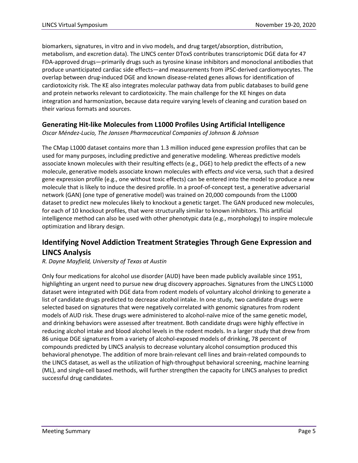biomarkers, signatures, in vitro and in vivo models, and drug target/absorption, distribution, metabolism, and excretion data). The LINCS center DToxS contributes transcriptomic DGE data for 47 FDA-approved drugs—primarily drugs such as tyrosine kinase inhibitors and monoclonal antibodies that produce unanticipated cardiac side effects—and measurements from iPSC-derived cardiomyocytes. The overlap between drug-induced DGE and known disease-related genes allows for identification of cardiotoxicity risk. The KE also integrates molecular pathway data from public databases to build gene and protein networks relevant to cardiotoxicity. The main challenge for the KE hinges on data integration and harmonization, because data require varying levels of cleaning and curation based on their various formats and sources.

#### **Generating Hit-like Molecules from L1000 Profiles Using Artificial Intelligence**

*Oscar Méndez-Lucio, The Janssen Pharmaceutical Companies of Johnson & Johnson*

The CMap L1000 dataset contains more than 1.3 million induced gene expression profiles that can be used for many purposes, including predictive and generative modeling. Whereas predictive models associate known molecules with their resulting effects (e.g., DGE) to help predict the effects of a new molecule, generative models associate known molecules with effects *and* vice versa, such that a desired gene expression profile (e.g., one without toxic effects) can be entered into the model to produce a new molecule that is likely to induce the desired profile. In a proof-of-concept test, a generative adversarial network (GAN) (one type of generative model) was trained on 20,000 compounds from the L1000 dataset to predict new molecules likely to knockout a genetic target. The GAN produced new molecules, for each of 10 knockout profiles, that were structurally similar to known inhibitors. This artificial intelligence method can also be used with other phenotypic data (e.g., morphology) to inspire molecule optimization and library design.

# **Identifying Novel Addiction Treatment Strategies Through Gene Expression and LINCS Analysis**

#### *R. Dayne Mayfield, University of Texas at Austin*

Only four medications for alcohol use disorder (AUD) have been made publicly available since 1951, highlighting an urgent need to pursue new drug discovery approaches. Signatures from the LINCS L1000 dataset were integrated with DGE data from rodent models of voluntary alcohol drinking to generate a list of candidate drugs predicted to decrease alcohol intake. In one study, two candidate drugs were selected based on signatures that were negatively correlated with genomic signatures from rodent models of AUD risk. These drugs were administered to alcohol-naïve mice of the same genetic model, and drinking behaviors were assessed after treatment. Both candidate drugs were highly effective in reducing alcohol intake and blood alcohol levels in the rodent models. In a larger study that drew from 86 unique DGE signatures from a variety of alcohol-exposed models of drinking, 78 percent of compounds predicted by LINCS analysis to decrease voluntary alcohol consumption produced this behavioral phenotype. The addition of more brain-relevant cell lines and brain-related compounds to the LINCS dataset, as well as the utilization of high-throughput behavioral screening, machine learning (ML), and single-cell based methods, will further strengthen the capacity for LINCS analyses to predict successful drug candidates.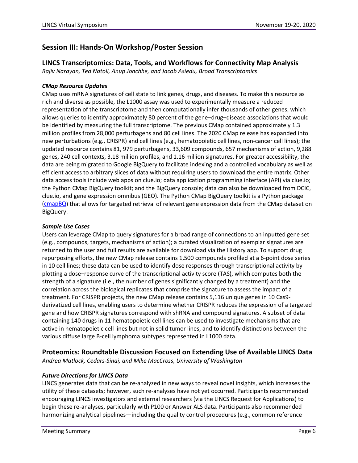# **Session III: Hands-On Workshop/Poster Session**

#### **LINCS Transcriptomics: Data, Tools, and Workflows for Connectivity Map Analysis**

*Rajiv Narayan, Ted Natoli, Anup Jonchhe, and Jacob Asiedu, Broad Transcriptomics*

#### *CMap Resource Updates*

CMap uses mRNA signatures of cell state to link genes, drugs, and diseases. To make this resource as rich and diverse as possible, the L1000 assay was used to experimentally measure a reduced representation of the transcriptome and then computationally infer thousands of other genes, which allows queries to identify approximately 80 percent of the gene–drug–disease associations that would be identified by measuring the full transcriptome. The previous CMap contained approximately 1.3 million profiles from 28,000 perturbagens and 80 cell lines. The 2020 CMap release has expanded into new perturbations (e.g., CRISPR) and cell lines (e.g., hematopoietic cell lines, non-cancer cell lines); the updated resource contains 81, 979 perturbagens, 33,609 compounds, 657 mechanisms of action, 9,288 genes, 240 cell contexts, 3.18 million profiles, and 1.16 million signatures. For greater accessibility, the data are being migrated to Google BigQuery to facilitate indexing and a controlled vocabulary as well as efficient access to arbitrary slices of data without requiring users to download the entire matrix. Other data access tools include web apps on clue.io; data application programming interface (API) via clue.io; the Python CMap BigQuery toolkit; and the BigQuery console; data can also be downloaded from DCIC, clue.io, and gene expression omnibus (GEO). The Python CMap BigQuery toolkit is a Python package [\(cmapBQ\)](https://github.com/cmap/cmapBQ) that allows for targeted retrieval of relevant gene expression data from the CMap dataset on BigQuery.

#### *Sample Use Cases*

Users can leverage CMap to query signatures for a broad range of connections to an inputted gene set (e.g., compounds, targets, mechanisms of action); a curated visualization of exemplar signatures are returned to the user and full results are available for download via the History app. To support drug repurposing efforts, the new CMap release contains 1,500 compounds profiled at a 6-point dose series in 10 cell lines; these data can be used to identify dose responses through transcriptional activity by plotting a dose–response curve of the transcriptional activity score (TAS), which computes both the strength of a signature (i.e., the number of genes significantly changed by a treatment) and the correlation across the biological replicates that comprise the signature to assess the impact of a treatment. For CRISPR projects, the new CMap release contains 5,116 unique genes in 10 Cas9 derivatized cell lines, enabling users to determine whether CRISPR reduces the expression of a targeted gene and how CRISPR signatures correspond with shRNA and compound signatures. A subset of data containing 140 drugs in 11 hematopoietic cell lines can be used to investigate mechanisms that are active in hematopoietic cell lines but not in solid tumor lines, and to identify distinctions between the various diffuse large B-cell lymphoma subtypes represented in L1000 data.

#### **Proteomics: Roundtable Discussion Focused on Extending Use of Available LINCS Data**

*Andrea Matlock, Cedars-Sinai, and Mike MacCross, University of Washington*

#### *Future Directions for LINCS Data*

LINCS generates data that can be re-analyzed in new ways to reveal novel insights, which increases the utility of these datasets; however, such re-analyses have not yet occurred. Participants recommended encouraging LINCS investigators and external researchers (via the LINCS Request for Applications) to begin these re-analyses, particularly with P100 or Answer ALS data. Participants also recommended harmonizing analytical pipelines—including the quality control procedures (e.g., common reference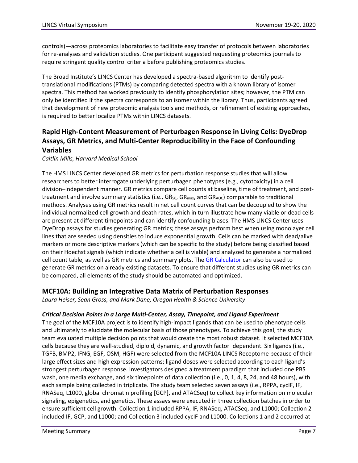controls)—across proteomics laboratories to facilitate easy transfer of protocols between laboratories for re-analyses and validation studies. One participant suggested requesting proteomics journals to require stringent quality control criteria before publishing proteomics studies.

The Broad Institute's LINCS Center has developed a spectra-based algorithm to identify posttranslational modifications (PTMs) by comparing detected spectra with a known library of isomer spectra. This method has worked previously to identify phosphorylation sites; however, the PTM can only be identified if the spectra corresponds to an isomer within the library. Thus, participants agreed that development of new proteomic analysis tools and methods, or refinement of existing approaches, is required to better localize PTMs within LINCS datasets.

# **Rapid High-Content Measurement of Perturbagen Response in Living Cells: DyeDrop Assays, GR Metrics, and Multi-Center Reproducibility in the Face of Confounding Variables**

*Caitlin Mills, Harvard Medical School*

The HMS LINCS Center developed GR metrics for perturbation response studies that will allow researchers to better interrogate underlying perturbagen phenotypes (e.g., cytotoxicity) in a cell division–independent manner. GR metrics compare cell counts at baseline, time of treatment, and posttreatment and involve summary statistics (i.e.,  $GR_{50}$ ,  $GR_{max}$ , and  $GR_{A0C}$ ) comparable to traditional methods. Analyses using GR metrics result in net cell count curves that can be decoupled to show the individual normalized cell growth and death rates, which in turn illustrate how many viable or dead cells are present at different timepoints and can identify confounding biases. The HMS LINCS Center uses DyeDrop assays for studies generating GR metrics; these assays perform best when using monolayer cell lines that are seeded using densities to induce exponential growth. Cells can be marked with dead/alive markers or more descriptive markers (which can be specific to the study) before being classified based on their Hoechst signals (which indicate whether a cell is viable) and analyzed to generate a normalized cell count table, as well as GR metrics and summary plots. The [GR Calculator](http://www.grcalculator.org/grtutorial/Home.html) can also be used to generate GR metrics on already existing datasets. To ensure that different studies using GR metrics can be compared, all elements of the study should be automated and optimized.

#### **MCF10A: Building an Integrative Data Matrix of Perturbation Responses**

*Laura Heiser, Sean Gross, and Mark Dane, Oregon Health & Science University* 

#### *Critical Decision Points in a Large Multi-Center, Assay, Timepoint, and Ligand Experiment*

The goal of the MCF10A project is to identify high-impact ligands that can be used to phenotype cells and ultimately to elucidate the molecular basis of those phenotypes. To achieve this goal, the study team evaluated multiple decision points that would create the most robust dataset. It selected MCF10A cells because they are well-studied, diploid, dynamic, and growth factor–dependent. Six ligands (i.e., TGFB, BMP2, IFNG, EGF, OSM, HGF) were selected from the MCF10A LINCS Receptome because of their large effect sizes and high expression patterns; ligand doses were selected according to each ligand's strongest perturbagen response. Investigators designed a treatment paradigm that included one PBS wash, one media exchange, and six timepoints of data collection (i.e., 0, 1, 4, 8, 24, and 48 hours), with each sample being collected in triplicate. The study team selected seven assays (i.e., RPPA, cycIF, IF, RNASeq, L1000, global chromatin profiling [GCP], and ATACSeq) to collect key information on molecular signaling, epigenetics, and genetics. These assays were executed in three collection batches in order to ensure sufficient cell growth. Collection 1 included RPPA, IF, RNASeq, ATACSeq, and L1000; Collection 2 included IF, GCP, and L1000; and Collection 3 included cycIF and L1000. Collections 1 and 2 occurred at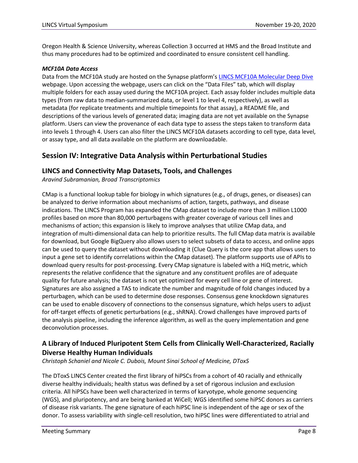Oregon Health & Science University, whereas Collection 3 occurred at HMS and the Broad Institute and thus many procedures had to be optimized and coordinated to ensure consistent cell handling.

#### *MCF10A Data Access*

Data from the MCF10A study are hosted on the Synapse platform's [LINCS MCF10A Molecular Deep Dive](https://www.synapse.org/#!Synapse:syn21577710) webpage. Upon accessing the webpage, users can click on the "Data Files" tab, which will display multiple folders for each assay used during the MCF10A project. Each assay folder includes multiple data types (from raw data to median-summarized data, or level 1 to level 4, respectively), as well as metadata (for replicate treatments and multiple timepoints for that assay), a README file, and descriptions of the various levels of generated data; imaging data are not yet available on the Synapse platform. Users can view the provenance of each data type to assess the steps taken to transform data into levels 1 through 4. Users can also filter the LINCS MCF10A datasets according to cell type, data level, or assay type, and all data available on the platform are downloadable.

# **Session IV: Integrative Data Analysis within Perturbational Studies**

### **LINCS and Connectivity Map Datasets, Tools, and Challenges**

*Aravind Subramanian, Broad Transcriptomics*

CMap is a functional lookup table for biology in which signatures (e.g., of drugs, genes, or diseases) can be analyzed to derive information about mechanisms of action, targets, pathways, and disease indications. The LINCS Program has expanded the CMap dataset to include more than 3 million L1000 profiles based on more than 80,000 perturbagens with greater coverage of various cell lines and mechanisms of action; this expansion is likely to improve analyses that utilize CMap data, and integration of multi-dimensional data can help to prioritize results. The full CMap data matrix is available for download, but Google BigQuery also allows users to select subsets of data to access, and online apps can be used to query the dataset without downloading it (Clue Query is the core app that allows users to input a gene set to identify correlations within the CMap dataset). The platform supports use of APIs to download query results for post-processing. Every CMap signature is labeled with a HiQ metric, which represents the relative confidence that the signature and any constituent profiles are of adequate quality for future analysis; the dataset is not yet optimized for every cell line or gene of interest. Signatures are also assigned a TAS to indicate the number and magnitude of fold changes induced by a perturbagen, which can be used to determine dose responses. Consensus gene knockdown signatures can be used to enable discovery of connections to the consensus signature, which helps users to adjust for off-target effects of genetic perturbations (e.g., shRNA). Crowd challenges have improved parts of the analysis pipeline, including the inference algorithm, as well as the query implementation and gene deconvolution processes.

# **A Library of Induced Pluripotent Stem Cells from Clinically Well-Characterized, Racially Diverse Healthy Human Individuals**

*Christoph Schaniel and Nicole C. Dubois, Mount Sinai School of Medicine, DToxS*

The DToxS LINCS Center created the first library of hiPSCs from a cohort of 40 racially and ethnically diverse healthy individuals; health status was defined by a set of rigorous inclusion and exclusion criteria. All hiPSCs have been well characterized in terms of karyotype, whole genome sequencing (WGS), and pluripotency, and are being banked at WiCell; WGS identified some hiPSC donors as carriers of disease risk variants. The gene signature of each hiPSC line is independent of the age or sex of the donor. To assess variability with single-cell resolution, two hiPSC lines were differentiated to atrial and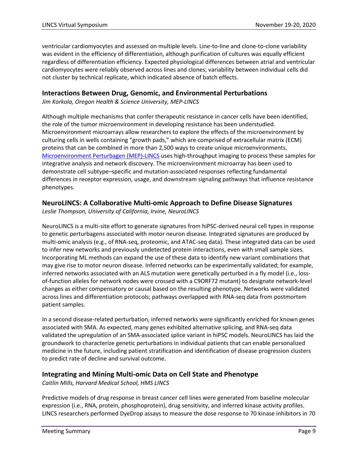ventricular cardiomyocytes and assessed on multiple levels. Line-to-line and clone-to-clone variability was evident in the efficiency of differentiation, although purification of cultures was equally efficient regardless of differentiation efficiency. Expected physiological differences between atrial and ventricular cardiomyocytes were reliably observed across lines and clones; variability between individual cells did not cluster by technical replicate, which indicated absence of batch effects.

#### **Interactions Between Drug, Genomic, and Environmental Perturbations**

*Jim Korkola, Oregon Health & Science University, MEP-LINCS*

Although multiple mechanisms that confer therapeutic resistance in cancer cells have been identified, the role of the tumor microenvironment in developing resistance has been understudied. Microenvironment microarrays allow researchers to explore the effects of the microenvironment by culturing cells in wells containing "growth pads," which are comprised of extracellular matrix (ECM) proteins that can be combined in more than 2,500 ways to create unique microenvironments. [Microenvironment Perturbagen \(MEP\)-LINCS](https://www.synapse.org/#!Synapse:syn2862345/wiki/72486) uses high-throughput imaging to process these samples for integrative analysis and network discovery. The microenvironment microarray has been used to demonstrate cell subtype–specific and mutation-associated responses reflecting fundamental differences in receptor expression, usage, and downstream signaling pathways that influence resistance phenotypes.

#### **NeuroLINCS: A Collaborative Multi-omic Approach to Define Disease Signatures**

*Leslie Thompson, University of California, Irvine, NeuroLINCS*

NeuroLINCS is a multi-site effort to generate signatures from hiPSC-derived neural cell types in response to genetic perturbagens associated with motor neuron disease. Integrated signatures are produced by multi-omic analysis (e.g., of RNA-seq, proteomic, and ATAC-seq data). These integrated data can be used to infer new networks and previously undetected protein interactions, even with small sample sizes. Incorporating ML methods can expand the use of these data to identify new variant combinations that may give rise to motor neuron disease. Inferred networks can be experimentally validated; for example, inferred networks associated with an ALS mutation were genetically perturbed in a fly model (i.e., lossof-function alleles for network nodes were crossed with a C9ORF72 mutant) to designate network-level changes as either compensatory or causal based on the resulting phenotype. Networks were validated across lines and differentiation protocols; pathways overlapped with RNA-seq data from postmortem patient samples.

In a second disease-related perturbation, inferred networks were significantly enriched for known genes associated with SMA. As expected, many genes exhibited alternative splicing, and RNA-seq data validated the upregulation of an SMA-associated splice variant in hiPSC models. NeuroLINCS has laid the groundwork to characterize genetic perturbations in individual patients that can enable personalized medicine in the future, including patient stratification and identification of disease progression clusters to predict rate of decline and survival outcome.

#### **Integrating and Mining Multi-omic Data on Cell State and Phenotype**

*Caitlin Mills, Harvard Medical School, HMS LINCS*

Predictive models of drug response in breast cancer cell lines were generated from baseline molecular expression (i.e., RNA, protein, phosphoprotein), drug sensitivity, and inferred kinase activity profiles. LINCS researchers performed DyeDrop assays to measure the dose response to 70 kinase inhibitors in 70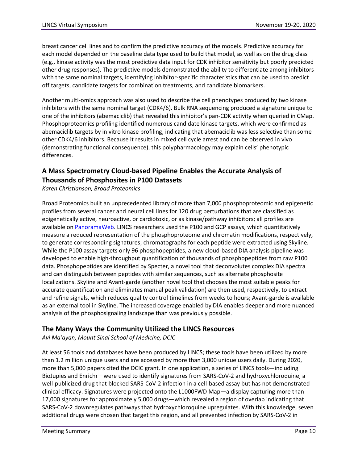breast cancer cell lines and to confirm the predictive accuracy of the models. Predictive accuracy for each model depended on the baseline data type used to build that model, as well as on the drug class (e.g., kinase activity was the most predictive data input for CDK inhibitor sensitivity but poorly predicted other drug responses). The predictive models demonstrated the ability to differentiate among inhibitors with the same nominal targets, identifying inhibitor-specific characteristics that can be used to predict off targets, candidate targets for combination treatments, and candidate biomarkers.

Another multi-omics approach was also used to describe the cell phenotypes produced by two kinase inhibitors with the same nominal target (CDK4/6). Bulk RNA sequencing produced a signature unique to one of the inhibitors (abemaciclib) that revealed this inhibitor's pan-CDK activity when queried in CMap. Phosphoproteomics profiling identified numerous candidate kinase targets, which were confirmed as abemaciclib targets by in vitro kinase profiling, indicating that abemaciclib was less selective than some other CDK4/6 inhibitors. Because it results in mixed cell cycle arrest and can be observed in vivo (demonstrating functional consequence), this polypharmacology may explain cells' phenotypic differences.

### **A Mass Spectrometry Cloud-based Pipeline Enables the Accurate Analysis of Thousands of Phosphosites in P100 Datasets**

*Karen Christianson, Broad Proteomics*

Broad Proteomics built an unprecedented library of more than 7,000 phosphoproteomic and epigenetic profiles from several cancer and neural cell lines for 120 drug perturbations that are classified as epigenetically active, neuroactive, or cardiotoxic, or as kinase/pathway inhibitors; all profiles are available on [PanoramaWeb.](https://panoramaweb.org/project/LINCS/begin.view) LINCS researchers used the P100 and GCP assays, which quantitatively measure a reduced representation of the phosphoproteome and chromatin modifications, respectively, to generate corresponding signatures; chromatographs for each peptide were extracted using Skyline. While the P100 assay targets only 96 phosphopeptides, a new cloud-based DIA analysis pipeline was developed to enable high-throughput quantification of thousands of phosphopeptides from raw P100 data. Phosphopeptides are identified by Specter, a novel tool that deconvolutes complex DIA spectra and can distinguish between peptides with similar sequences, such as alternate phosphosite localizations. Skyline and Avant-garde (another novel tool that chooses the most suitable peaks for accurate quantification and eliminates manual peak validation) are then used, respectively, to extract and refine signals, which reduces quality control timelines from weeks to hours; Avant-garde is available as an external tool in Skyline. The increased coverage enabled by DIA enables deeper and more nuanced analysis of the phosphosignaling landscape than was previously possible.

#### **The Many Ways the Community Utilized the LINCS Resources**

*Avi Ma'ayan, Mount Sinai School of Medicine, DCIC*

At least 56 tools and databases have been produced by LINCS; these tools have been utilized by more than 1.2 million unique users and are accessed by more than 3,000 unique users daily. During 2020, more than 5,000 papers cited the DCIC grant. In one application, a series of LINCS tools—including BioJupies and Enrichr—were used to identify signatures from SARS-CoV-2 and hydroxychloroquine, a well-publicized drug that blocked SARS-CoV-2 infection in a cell-based assay but has not demonstrated clinical efficacy. Signatures were projected onto the L1000FWD Map—a display capturing more than 17,000 signatures for approximately 5,000 drugs—which revealed a region of overlap indicating that SARS-CoV-2 downregulates pathways that hydroxychloroquine upregulates. With this knowledge, seven additional drugs were chosen that target this region, and all prevented infection by SARS-CoV-2 in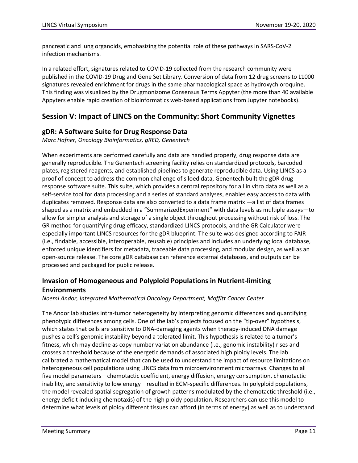pancreatic and lung organoids, emphasizing the potential role of these pathways in SARS-CoV-2 infection mechanisms.

In a related effort, signatures related to COVID-19 collected from the research community were published in the COVID-19 Drug and Gene Set Library. Conversion of data from 12 drug screens to L1000 signatures revealed enrichment for drugs in the same pharmacological space as hydroxychloroquine. This finding was visualized by the Drugmonizome Consensus Terms Appyter (the more than 40 available Appyters enable rapid creation of bioinformatics web-based applications from Jupyter notebooks).

# **Session V: Impact of LINCS on the Community: Short Community Vignettes**

#### **gDR: A Software Suite for Drug Response Data**

*Marc Hafner, Oncology Bioinformatics, gRED, Genentech*

When experiments are performed carefully and data are handled properly, drug response data are generally reproducible. The Genentech screening facility relies on standardized protocols, barcoded plates, registered reagents, and established pipelines to generate reproducible data. Using LINCS as a proof of concept to address the common challenge of siloed data, Genentech built the gDR drug response software suite. This suite, which provides a central repository for all in vitro data as well as a self-service tool for data processing and a series of standard analyses, enables easy access to data with duplicates removed. Response data are also converted to a data frame matrix —a list of data frames shaped as a matrix and embedded in a "SummarizedExperiment" with data levels as multiple assays—to allow for simpler analysis and storage of a single object throughout processing without risk of loss. The GR method for quantifying drug efficacy, standardized LINCS protocols, and the GR Calculator were especially important LINCS resources for the gDR blueprint. The suite was designed according to FAIR (i.e., findable, accessible, interoperable, reusable) principles and includes an underlying local database, enforced unique identifiers for metadata, traceable data processing, and modular design, as well as an open-source release. The core gDR database can reference external databases, and outputs can be processed and packaged for public release.

# **Invasion of Homogeneous and Polyploid Populations in Nutrient-limiting Environments**

*Noemi Andor, Integrated Mathematical Oncology Department, Moffitt Cancer Center*

The Andor lab studies intra-tumor heterogeneity by interpreting genomic differences and quantifying phenotypic differences among cells. One of the lab's projects focused on the "tip-over" hypothesis, which states that cells are sensitive to DNA-damaging agents when therapy-induced DNA damage pushes a cell's genomic instability beyond a tolerated limit. This hypothesis is related to a tumor's fitness, which may decline as copy number variation abundance (i.e., genomic instability) rises and crosses a threshold because of the energetic demands of associated high ploidy levels. The lab calibrated a mathematical model that can be used to understand the impact of resource limitations on heterogeneous cell populations using LINCS data from microenvironment microarrays. Changes to all five model parameters—chemotactic coefficient, energy diffusion, energy consumption, chemotactic inability, and sensitivity to low energy—resulted in ECM-specific differences. In polyploid populations, the model revealed spatial segregation of growth patterns modulated by the chemotactic threshold (i.e., energy deficit inducing chemotaxis) of the high ploidy population. Researchers can use this model to determine what levels of ploidy different tissues can afford (in terms of energy) as well as to understand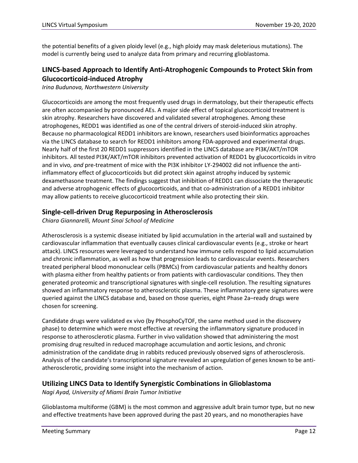the potential benefits of a given ploidy level (e.g., high ploidy may mask deleterious mutations). The model is currently being used to analyze data from primary and recurring glioblastoma.

# **LINCS-based Approach to Identify Anti-Atrophogenic Compounds to Protect Skin from Glucocorticoid-induced Atrophy**

*Irina Budunova, Northwestern University*

Glucocorticoids are among the most frequently used drugs in dermatology, but their therapeutic effects are often accompanied by pronounced AEs. A major side effect of topical glucocorticoid treatment is skin atrophy. Researchers have discovered and validated several atrophogenes. Among these atrophogenes, REDD1 was identified as one of the central drivers of steroid-induced skin atrophy. Because no pharmacological REDD1 inhibitors are known, researchers used bioinformatics approaches via the LINCS database to search for REDD1 inhibitors among FDA-approved and experimental drugs. Nearly half of the first 20 REDD1 suppressors identified in the LINCS database are PI3K/AKT/mTOR inhibitors. All tested PI3K/AKT/mTOR inhibitors prevented activation of REDD1 by glucocorticoids in vitro and in vivo*, and* pre-treatment of mice with the PI3K inhibitor LY-294002 did not influence the antiinflammatory effect of glucocorticoids but did protect skin against atrophy induced by systemic dexamethasone treatment. The findings suggest that inhibition of REDD1 can dissociate the therapeutic and adverse atrophogenic effects of glucocorticoids, and that co-administration of a REDD1 inhibitor may allow patients to receive glucocorticoid treatment while also protecting their skin.

#### **Single-cell-driven Drug Repurposing in Atherosclerosis**

*Chiara Giannarelli, Mount Sinai School of Medicine*

Atherosclerosis is a systemic disease initiated by lipid accumulation in the arterial wall and sustained by cardiovascular inflammation that eventually causes clinical cardiovascular events (e.g., stroke or heart attack). LINCS resources were leveraged to understand how immune cells respond to lipid accumulation and chronic inflammation, as well as how that progression leads to cardiovascular events. Researchers treated peripheral blood mononuclear cells (PBMCs) from cardiovascular patients and healthy donors with plasma either from healthy patients or from patients with cardiovascular conditions. They then generated proteomic and transcriptional signatures with single-cell resolution. The resulting signatures showed an inflammatory response to atherosclerotic plasma. These inflammatory gene signatures were queried against the LINCS database and, based on those queries, eight Phase 2a–ready drugs were chosen for screening.

Candidate drugs were validated ex vivo (by PhosphoCyTOF, the same method used in the discovery phase) to determine which were most effective at reversing the inflammatory signature produced in response to atherosclerotic plasma. Further in vivo validation showed that administering the most promising drug resulted in reduced macrophage accumulation and aortic lesions, and chronic administration of the candidate drug in rabbits reduced previously observed signs of atherosclerosis. Analysis of the candidate's transcriptional signature revealed an upregulation of genes known to be antiatherosclerotic, providing some insight into the mechanism of action.

#### **Utilizing LINCS Data to Identify Synergistic Combinations in Glioblastoma**

*Nagi Ayad, University of Miami Brain Tumor Initiative*

Glioblastoma multiforme (GBM) is the most common and aggressive adult brain tumor type, but no new and effective treatments have been approved during the past 20 years, and no monotherapies have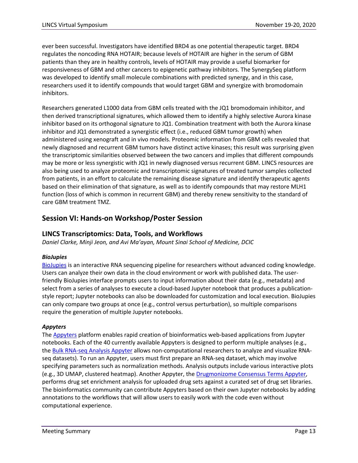ever been successful. Investigators have identified BRD4 as one potential therapeutic target. BRD4 regulates the noncoding RNA HOTAIR; because levels of HOTAIR are higher in the serum of GBM patients than they are in healthy controls, levels of HOTAIR may provide a useful biomarker for responsiveness of GBM and other cancers to epigenetic pathway inhibitors. The SynergySeq platform was developed to identify small molecule combinations with predicted synergy, and in this case, researchers used it to identify compounds that would target GBM and synergize with bromodomain inhibitors.

Researchers generated L1000 data from GBM cells treated with the JQ1 bromodomain inhibitor, and then derived transcriptional signatures, which allowed them to identify a highly selective Aurora kinase inhibitor based on its orthogonal signature to JQ1. Combination treatment with both the Aurora kinase inhibitor and JQ1 demonstrated a synergistic effect (i.e., reduced GBM tumor growth) when administered using xenograft and in vivo models. Proteomic information from GBM cells revealed that newly diagnosed and recurrent GBM tumors have distinct active kinases; this result was surprising given the transcriptomic similarities observed between the two cancers and implies that different compounds may be more or less synergistic with JQ1 in newly diagnosed versus recurrent GBM. LINCS resources are also being used to analyze proteomic and transcriptomic signatures of treated tumor samples collected from patients, in an effort to calculate the remaining disease signature and identify therapeutic agents based on their elimination of that signature, as well as to identify compounds that may restore MLH1 function (loss of which is common in recurrent GBM) and thereby renew sensitivity to the standard of care GBM treatment TMZ.

# **Session VI: Hands-on Workshop/Poster Session**

#### **LINCS Transcriptomics: Data, Tools, and Workflows**

*Daniel Clarke, Minji Jeon, and Avi Ma'ayan, Mount Sinai School of Medicine, DCIC*

#### *BioJupies*

[BioJupies](https://amp.pharm.mssm.edu/biojupies/) is an interactive RNA sequencing pipeline for researchers without advanced coding knowledge. Users can analyze their own data in the cloud environment or work with published data. The userfriendly BioJupies interface prompts users to input information about their data (e.g., metadata) and select from a series of analyses to execute a cloud-based Jupyter notebook that produces a publicationstyle report; Jupyter notebooks can also be downloaded for customization and local execution. BioJupies can only compare two groups at once (e.g., control versus perturbation), so multiple comparisons require the generation of multiple Jupyter notebooks.

#### *Appyters*

The [Appyters](https://appyters.maayanlab.cloud/#/) platform enables rapid creation of bioinformatics web-based applications from Jupyter notebooks. Each of the 40 currently available Appyters is designed to perform multiple analyses (e.g., the [Bulk RNA-seq Analysis Appyter](https://appyters.maayanlab.cloud/#/Bulk_RNA_seq) allows non-computational researchers to analyze and visualize RNAseq datasets). To run an Appyter, users must first prepare an RNA-seq dataset, which may involve specifying parameters such as normalization methods. Analysis outputs include various interactive plots (e.g., 3D UMAP, clustered heatmap). Another Appyter, th[e Drugmonizome Consensus Terms Appyter,](https://appyters.maayanlab.cloud/#/Drugmonizome_Consensus_Terms) performs drug set enrichment analysis for uploaded drug sets against a curated set of drug set libraries. The bioinformatics community can contribute Appyters based on their own Jupyter notebooks by adding annotations to the workflows that will allow users to easily work with the code even without computational experience.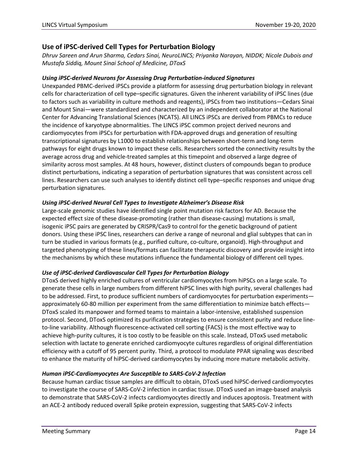#### **Use of iPSC-derived Cell Types for Perturbation Biology**

*Dhruv Sareen and Arun Sharma, Cedars Sinai, NeuroLINCS; Priyanka Narayan, NIDDK; Nicole Dubois and Mustafa Siddiq, Mount Sinai School of Medicine, DToxS*

#### *Using iPSC-derived Neurons for Assessing Drug Perturbation-induced Signatures*

Unexpanded PBMC-derived iPSCs provide a platform for assessing drug perturbation biology in relevant cells for characterization of cell type–specific signatures. Given the inherent variability of iPSC lines (due to factors such as variability in culture methods and reagents), iPSCs from two institutions—Cedars Sinai and Mount Sinai—were standardized and characterized by an independent collaborator at the National Center for Advancing Translational Sciences (NCATS). All LINCS iPSCs are derived from PBMCs to reduce the incidence of karyotype abnormalities. The LINCS iPSC common project derived neurons and cardiomyocytes from iPSCs for perturbation with FDA-approved drugs and generation of resulting transcriptional signatures by L1000 to establish relationships between short-term and long-term pathways for eight drugs known to impact these cells. Researchers sorted the connectivity results by the average across drug and vehicle-treated samples at this timepoint and observed a large degree of similarity across most samples. At 48 hours, however, distinct clusters of compounds began to produce distinct perturbations, indicating a separation of perturbation signatures that was consistent across cell lines. Researchers can use such analyses to identify distinct cell type–specific responses and unique drug perturbation signatures.

#### *Using iPSC-derived Neural Cell Types to Investigate Alzheimer's Disease Risk*

Large-scale genomic studies have identified single point mutation risk factors for AD. Because the expected effect size of these disease-promoting (rather than disease-causing) mutations is small, isogenic iPSC pairs are generated by CRISPR/Cas9 to control for the genetic background of patient donors. Using these iPSC lines, researchers can derive a range of neuronal and glial subtypes that can in turn be studied in various formats (e.g., purified culture, co-culture, organoid). High-throughput and targeted phenotyping of these lines/formats can facilitate therapeutic discovery and provide insight into the mechanisms by which these mutations influence the fundamental biology of different cell types.

#### *Use of iPSC-derived Cardiovascular Cell Types for Perturbation Biology*

DToxS derived highly enriched cultures of ventricular cardiomyocytes from hiPSCs on a large scale. To generate these cells in large numbers from different hiPSC lines with high purity, several challenges had to be addressed. First, to produce sufficient numbers of cardiomyocytes for perturbation experimentsapproximately 60-80 million per experiment from the same differentiation to minimize batch effects— DToxS scaled its manpower and formed teams to maintain a labor-intensive, established suspension protocol. Second, DToxS optimized its purification strategies to ensure consistent purity and reduce lineto-line variability. Although fluorescence-activated cell sorting (FACS) is the most effective way to achieve high-purity cultures, it is too costly to be feasible on this scale. Instead, DToxS used metabolic selection with lactate to generate enriched cardiomyocyte cultures regardless of original differentiation efficiency with a cutoff of 95 percent purity. Third, a protocol to modulate PPAR signaling was described to enhance the maturity of hiPSC-derived cardiomyocytes by inducing more mature metabolic activity.

#### *Human iPSC-Cardiomyocytes Are Susceptible to SARS-CoV-2 Infection*

Because human cardiac tissue samples are difficult to obtain, DToxS used hiPSC-derived cardiomyocytes to investigate the course of SARS-CoV-2 infection in cardiac tissue. DToxS used an image-based analysis to demonstrate that SARS-CoV-2 infects cardiomyocytes directly and induces apoptosis. Treatment with an ACE-2 antibody reduced overall Spike protein expression, suggesting that SARS-CoV-2 infects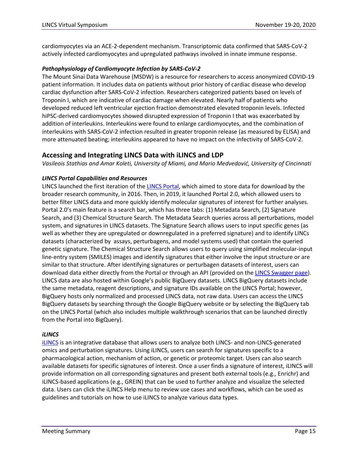cardiomyocytes via an ACE-2-dependent mechanism. Transcriptomic data confirmed that SARS-CoV-2 actively infected cardiomyocytes and upregulated pathways involved in innate immune response.

#### *Pathophysiology of Cardiomyocyte Infection by SARS-CoV-2*

The Mount Sinai Data Warehouse (MSDW) is a resource for researchers to access anonymized COVID-19 patient information. It includes data on patients without prior history of cardiac disease who develop cardiac dysfunction after SARS-CoV-2 infection. Researchers categorized patients based on levels of Troponin I, which are indicative of cardiac damage when elevated. Nearly half of patients who developed reduced left ventricular ejection fraction demonstrated elevated troponin levels. Infected hiPSC-derived cardiomyocytes showed disrupted expression of Troponin I that was exacerbated by addition of interleukins. Interleukins were found to enlarge cardiomyocytes, and the combination of interleukins with SARS-CoV-2 infection resulted in greater troponin release (as measured by ELISA) and more attenuated beating; interleukins appeared to have no impact on the infectivity of SARS-CoV-2.

#### **Accessing and Integrating LINCS Data with iLINCS and LDP**

*Vasileois Stathias and Amar Koleti, University of Miami, and Mario Medvedović, University of Cincinnati* 

#### *LINCS Portal Capabilities and Resources*

LINCS launched the first iteration of the [LINCS Portal,](http://lincsportal.ccs.miami.edu/signatures/home) which aimed to store data for download by the broader research community, in 2016. Then, in 2019, it launched Portal 2.0, which allowed users to better filter LINCS data and more quickly identify molecular signatures of interest for further analyses. Portal 2.0's main feature is a search bar, which has three tabs: (1) Metadata Search, (2) Signature Search, and (3) Chemical Structure Search. The Metadata Search queries across all perturbations, model system, and signatures in LINCS datasets. The Signature Search allows users to input specific genes (as well as whether they are upregulated or downregulated in a preferred signature) and to identify LINCs datasets (characterized by assays, perturbagens, and model systems used) that contain the queried genetic signature. The Chemical Structure Search allows users to query using simplified molecular-input line-entry system (SMILES) images and identify signatures that either involve the input structure or are similar to that structure. After identifying signatures or perturbagen datasets of interest, users can download data either directly from the Portal or through an API (provided on the [LINCS Swagger page\)](http://lincsportal.ccs.miami.edu/sigc-api/swagger-ui.html). LINCS data are also hosted within Google's public BigQuery datasets. LINCS BigQuery datasets include the same metadata, reagent descriptions, and signature IDs available on the LINCS Portal; however, BigQuery hosts only normalized and processed LINCS data, not raw data. Users can access the LINCS BigQuery datasets by searching through the Google BigQuery website or by selecting the BigQuery tab on the LINCS Portal (which also includes multiple walkthrough scenarios that can be launched directly from the Portal into BigQuery).

#### *iLINCS*

[iLINCS](http://www.ilincs.org/ilincs/) is an integrative database that allows users to analyze both LINCS- and non-LINCS-generated omics and perturbation signatures. Using iLINCS, users can search for signatures specific to a pharmacological action, mechanism of action, or genetic or proteomic target. Users can also search available datasets for specific signatures of interest. Once a user finds a signature of interest, iLINCS will provide information on all corresponding signatures and present both external tools (e.g., Enrichr) and iLINCS-based applications (e.g., GREIN) that can be used to further analyze and visualize the selected data. Users can click the iLINCS Help menu to review use cases and workflows, which can be used as guidelines and tutorials on how to use iLINCS to analyze various data types.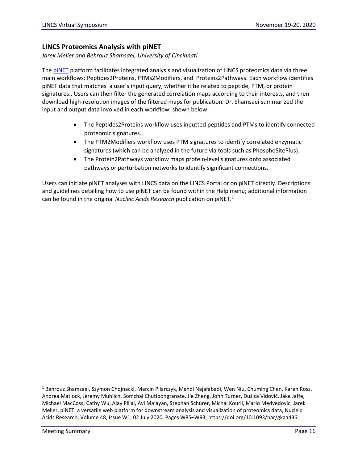#### **LINCS Proteomics Analysis with piNET**

*Jarek Meller and Behrouz Shamsaei, University of Cincinnati* 

The [piNET](http://www.pinet-server.org/pinet/peptideToProtein) platform facilitates integrated analysis and visualization of LINCS proteomics data via three main workflows: Peptides2Proteins, PTMs2Modifiers, and Proteins2Pathways. Each workflow identifies piNET data that matches a user's input query, whether it be related to peptide, PTM, or protein signatures., Users can then filter the generated correlation maps according to their interests, and then download high-resolution images of the filtered maps for publication. Dr. Shamsaei summarized the input and output data involved in each workflow, shown below:

- The Peptides2Proteins workflow uses inputted peptides and PTMs to identify connected proteomic signatures.
- The PTM2Modifiers workflow uses PTM signatures to identify correlated enzymatic signatures (which can be analyzed in the future via tools such as PhosphoSitePlus).
- The Protein2Pathways workflow maps protein-level signatures onto associated pathways or perturbation networks to identify significant connections.

Users can initiate piNET analyses with LINCS data on the LINCS Portal or on piNET directly. Descriptions and guidelines detailing how to use piNET can be found within the Help menu; additional information can be found in the original *Nucleic Acids Research* publication on piNET[.1](#page-18-0)

<span id="page-18-0"></span><sup>1</sup> Behrouz Shamsaei, Szymon Chojnacki, Marcin Pilarczyk, Mehdi Najafabadi, Wen Niu, Chuming Chen, Karen Ross, Andrea Matlock, Jeremy Muhlich, Somchai Chutipongtanate, Jie Zheng, John Turner, Dušica Vidović, Jake Jaffe, Michael MacCoss, Cathy Wu, Ajay Pillai, Avi Ma'ayan, Stephan Schürer, Michal Kouril, Mario Medvedovic, Jarek Meller, piNET: a versatile web platform for downstream analysis and visualization of proteomics data, Nucleic Acids Research, Volume 48, Issue W1, 02 July 2020, Pages W85–W93, https://doi.org/10.1093/nar/gkaa436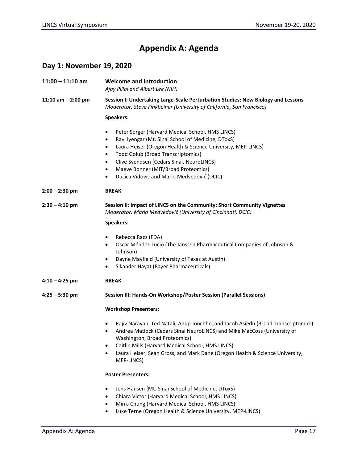# **Appendix A: Agenda**

# **Day 1: November 19, 2020**

| $11:00 - 11:10$ am   | <b>Welcome and Introduction</b><br>Ajay Pillai and Albert Lee (NIH)                                                                                                                                                                                                                                                                                                                                              |
|----------------------|------------------------------------------------------------------------------------------------------------------------------------------------------------------------------------------------------------------------------------------------------------------------------------------------------------------------------------------------------------------------------------------------------------------|
| 11:10 am $-$ 2:00 pm | Session I: Undertaking Large-Scale Perturbation Studies: New Biology and Lessons<br>Moderator: Steve Finkbeiner (University of California, San Francisco)                                                                                                                                                                                                                                                        |
|                      | <b>Speakers:</b>                                                                                                                                                                                                                                                                                                                                                                                                 |
|                      | Peter Sorger (Harvard Medical School, HMS LINCS)<br>٠<br>Ravi Iyengar (Mt. Sinai School of Medicine, DToxS)<br>$\bullet$<br>Laura Heiser (Oregon Health & Science University, MEP-LINCS)<br>٠<br><b>Todd Golub (Broad Transcriptomics)</b><br>$\bullet$<br>Clive Svendsen (Cedars Sinai, NeuroLINCS)<br>$\bullet$<br>Maeve Bonner (MIT/Broad Proteomics)<br>٠<br>Dušica Vidović and Mario Medvedović (DCIC)<br>٠ |
| $2:00 - 2:30$ pm     | <b>BREAK</b>                                                                                                                                                                                                                                                                                                                                                                                                     |
| $2:30 - 4:10$ pm     | Session II: Impact of LINCS on the Community: Short Community Vignettes<br>Moderator: Mario Medvedović (University of Cincinnati, DCIC)                                                                                                                                                                                                                                                                          |
|                      | Speakers:                                                                                                                                                                                                                                                                                                                                                                                                        |
|                      | Rebecca Racz (FDA)<br>$\bullet$<br>Oscar Méndez-Lucio (The Janssen Pharmaceutical Companies of Johnson &<br>٠<br>Johnson)<br>Dayne Mayfield (University of Texas at Austin)<br>٠<br>Sikander Hayat (Bayer Pharmaceuticals)<br>٠                                                                                                                                                                                  |
| $4:10 - 4:25$ pm     | <b>BREAK</b>                                                                                                                                                                                                                                                                                                                                                                                                     |
| $4:25 - 5:30$ pm     | Session III: Hands-On Workshop/Poster Session (Parallel Sessions)                                                                                                                                                                                                                                                                                                                                                |
|                      | <b>Workshop Presenters:</b>                                                                                                                                                                                                                                                                                                                                                                                      |
|                      | Rajiv Narayan, Ted Natali, Anup Jonchhe, and Jacob Asiedu (Broad Transcriptomics)<br>$\bullet$<br>Andrea Matlock (Cedars Sinai NeuroLINCS) and Mike MacCoss (University of<br>Washington, Broad Proteomics)<br>Caitlin Mills (Harvard Medical School, HMS LINCS)<br>Laura Heiser, Sean Gross, and Mark Dane (Oregon Health & Science University,<br>MEP-LINCS)                                                   |
|                      | <b>Poster Presenters:</b>                                                                                                                                                                                                                                                                                                                                                                                        |
|                      | Jens Hansen (Mt. Sinai School of Medicine, DToxS)<br>Chiara Victor (Harvard Medical School, HMS LINCS)<br>Mirra Chung (Harvard Medical School, HMS LINCS)<br>Luke Terne (Oregon Health & Science University, MEP-LINCS)<br>٠                                                                                                                                                                                     |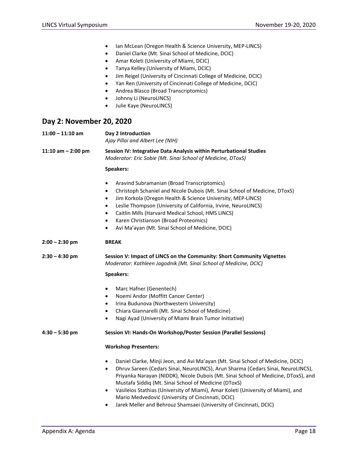- Ian McLean (Oregon Health & Science University, MEP-LINCS)
- Daniel Clarke (Mt. Sinai School of Medicine, DCIC)
- Amar Koleti (University of Miami, DCIC)
- Tanya Kelley (University of Miami, DCIC)
- Jim Reigel (University of Cincinnati College of Medicine, DCIC)
- Yan Ren (University of Cincinnati College of Medicine, DCIC)
- Andrea Blasco (Broad Transcriptomics)
- Johnny Li (NeuroLINCS)
- Julie Kaye (NeuroLINCS)

#### **Day 2: November 20, 2020**

**11:00 – 11:10 am Day 2 Introduction** *Ajay Pillai and Albert Lee (NIH)* **11:10 am – 2:00 pm Session IV: Integrative Data Analysis within Perturbational Studies** *Moderator: Eric Sobie (Mt. Sinai School of Medicine, DToxS)* **Speakers:** • Aravind Subramanian (Broad Transcriptomics) • Christoph Schaniel and Nicole Dubois (Mt. Sinai School of Medicine, DToxS) • Jim Korkola (Oregon Health & Science University, MEP-LINCS) • Leslie Thompson (University of California, Irvine, NeuroLINCS) • Caitlin Mills (Harvard Medical School, HMS LINCS) • Karen Christianson (Broad Proteomics) • Avi Ma'ayan (Mt. Sinai School of Medicine, DCIC) **2:00 – 2:30 pm BREAK 2:30 – 4:30 pm Session V: Impact of LINCS on the Community: Short Community Vignettes** *Moderator: Kathleen Jagodnik (Mt. Sinai School of Medicine, DCIC)* **Speakers:** • Marc Hafner (Genentech) • Noemi Andor (Moffitt Cancer Center) • Irina Budunova (Northwestern University) • Chiara Giannarelli (Mt. Sinai School of Medicine) • Nagi Ayad (University of Miami Brain Tumor Initiative) **4:30 – 5:30 pm Session VI: Hands-On Workshop/Poster Session (Parallel Sessions) Workshop Presenters:** • Daniel Clarke, Minji Jeon, and Avi Ma'ayan (Mt. Sinai School of Medicine, DCIC) • Dhruv Sareen (Cedars Sinai, NeuroLINCS), Arun Sharma (Cedars Sinai, NeuroLINCS), Priyanka Narayan (NIDDK), Nicole Dubois (Mt. Sinai School of Medicine, DToxS), and Mustafa Siddiq (Mt. Sinai School of Medicine (DToxS) • Vasileios Stathias (University of Miami), Amar Koleti (University of Miami), and Mario Medvedović (University of Cincinnati, DCIC) • Jarek Meller and Behrouz Shamsaei (University of Cincinnati, DCIC)